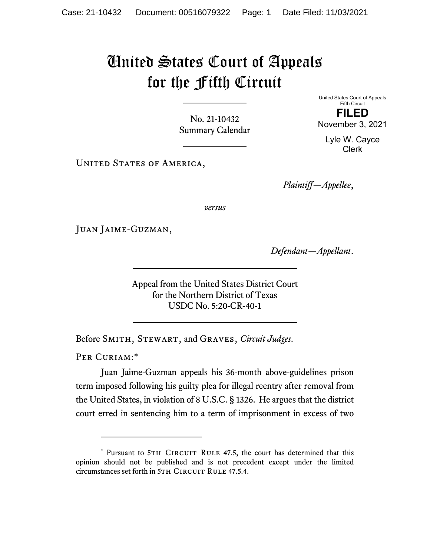## United States Court of Appeals for the Fifth Circuit

No. 21-10432 Summary Calendar United States Court of Appeals Fifth Circuit **FILED** 

November 3, 2021

Lyle W. Cayce Clerk

UNITED STATES OF AMERICA,

*Plaintiff—Appellee*,

*versus*

Juan Jaime-Guzman,

*Defendant—Appellant*.

Appeal from the United States District Court for the Northern District of Texas USDC No. 5:20-CR-40-1

Before Smith, Stewart, and Graves, *Circuit Judges*.

PER CURIAM:\*

Juan Jaime-Guzman appeals his 36-month above-guidelines prison term imposed following his guilty plea for illegal reentry after removal from the United States, in violation of 8 U.S.C. § 1326. He argues that the district court erred in sentencing him to a term of imprisonment in excess of two

<sup>\*</sup> Pursuant to 5TH CIRCUIT RULE 47.5, the court has determined that this opinion should not be published and is not precedent except under the limited circumstances set forth in 5TH CIRCUIT RULE 47.5.4.